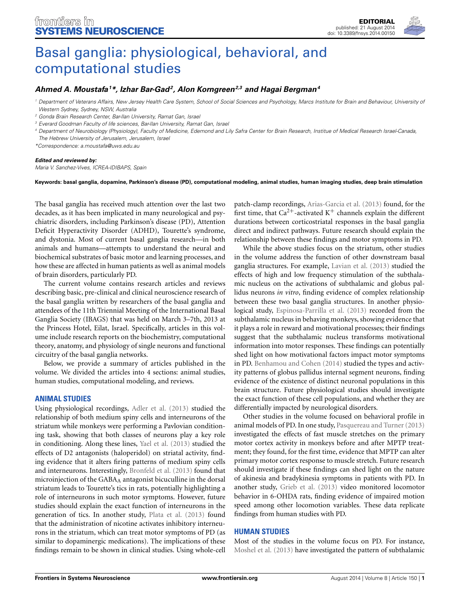

# [Basal ganglia: physiological, behavioral, and](http://www.frontiersin.org/journal/10.3389/fnsys.2014.00150/full) computational studies

# *[Ahmed A. Moustafa1](http://community.frontiersin.org/people/u/15417) \*, [Izhar Bar-Gad](http://community.frontiersin.org/people/u/6871)2, [Alon Korngreen](http://community.frontiersin.org/people/u/1872)2,3 and [Hagai Bergman4](http://community.frontiersin.org/people/u/6667)*

*<sup>1</sup> Department of Veterans Affairs, New Jersey Health Care System, School of Social Sciences and Psychology, Marcs Institute for Brain and Behaviour, University of Western Sydney, Sydney, NSW, Australia*

*<sup>3</sup> Everard Goodman Faculty of life sciences, Bar-Ilan University, Ramat Gan, Israel*

*<sup>4</sup> Department of Neurobiology (Physiology), Faculty of Medicine, Edemond and Lily Safra Center for Brain Research, Institue of Medical Research Israel-Canada, The Hebrew University of Jerusalem, Jerusalem, Israel*

*\*Correspondence: [a.moustafa@uws.edu.au](mailto:a.moustafa@uws.edu.au)*

#### *Edited and reviewed by:*

*Maria V. Sanchez-Vives, ICREA-IDIBAPS, Spain*

**Keywords: basal ganglia, dopamine, Parkinson's disease (PD), computational modeling, animal studies, human imaging studies, deep brain stimulation**

The basal ganglia has received much attention over the last two decades, as it has been implicated in many neurological and psychiatric disorders, including Parkinson's disease (PD), Attention Deficit Hyperactivity Disorder (ADHD), Tourette's syndrome, and dystonia. Most of current basal ganglia research—in both animals and humans—attempts to understand the neural and biochemical substrates of basic motor and learning processes, and how these are affected in human patients as well as animal models of brain disorders, particularly PD.

The current volume contains research articles and reviews describing basic, pre-clinical and clinical neuroscience research of the basal ganglia written by researchers of the basal ganglia and attendees of the 11th Triennial Meeting of the International Basal Ganglia Society (IBAGS) that was held on March 3–7th, 2013 at the Princess Hotel, Eilat, Israel. Specifically, articles in this volume include research reports on the biochemistry, computational theory, anatomy, and physiology of single neurons and functional circuitry of the basal ganglia networks.

Below, we provide a summary of articles published in the volume. We divided the articles into 4 sections: animal studies, human studies, computational modeling, and reviews.

### **ANIMAL STUDIES**

Using physiological recordings, [Adler et al.](#page-2-0) [\(2013\)](#page-2-0) studied the relationship of both medium spiny cells and interneurons of the striatum while monkeys were performing a Pavlovian conditioning task, showing that both classes of neurons play a key role in conditioning. Along these lines, [Yael et al.](#page-3-0) [\(2013](#page-3-0)) studied the effects of D2 antagonists (haloperidol) on striatal activity, finding evidence that it alters firing patterns of medium spiny cells and interneurons. Interestingly, [Bronfeld et al.](#page-2-1) [\(2013](#page-2-1)) found that microinjection of the GABA<sub>A</sub> antagonist bicuculline in the dorsal striatum leads to Tourette's tics in rats, potentially highlighting a role of interneurons in such motor symptoms. However, future studies should explain the exact function of interneurons in the generation of tics. In another study, [Plata et al.](#page-3-1) [\(2013](#page-3-1)) found that the administration of nicotine activates inhibitory interneurons in the striatum, which can treat motor symptoms of PD (as similar to dopaminergic medications). The implications of these findings remain to be shown in clinical studies. Using whole-cell

patch-clamp recordings, [Arias-Garcia et al.](#page-2-2) [\(2013\)](#page-2-2) found, for the first time, that  $Ca^{2+}$ -activated K<sup>+</sup> channels explain the different durations between corticostriatal responses in the basal ganglia direct and indirect pathways. Future research should explain the relationship between these findings and motor symptoms in PD.

While the above studies focus on the striatum, other studies in the volume address the function of other downstream basal ganglia structures. For example, [Lavian et al.](#page-3-2) [\(2013\)](#page-3-2) studied the effects of high and low frequency stimulation of the subthalamic nucleus on the activations of subthalamic and globus pallidus neurons *in vitro*, finding evidence of complex relationship between these two basal ganglia structures. In another physiological study, [Espinosa-Parrilla et al.](#page-2-3) [\(2013](#page-2-3)) recorded from the subthalamic nucleus in behaving monkeys, showing evidence that it plays a role in reward and motivational processes; their findings suggest that the subthalamic nucleus transforms motivational information into motor responses. These findings can potentially shed light on how motivational factors impact motor symptoms in PD. [Benhamou and Cohen](#page-2-4) [\(2014](#page-2-4)) studied the types and activity patterns of globus pallidus internal segment neurons, finding evidence of the existence of distinct neuronal populations in this brain structure. Future physiological studies should investigate the exact function of these cell populations, and whether they are differentially impacted by neurological disorders.

Other studies in the volume focused on behavioral profile in animal models of PD. In one study, [Pasquereau and Turner](#page-3-3) [\(2013](#page-3-3)) investigated the effects of fast muscle stretches on the primary motor cortex activity in monkeys before and after MPTP treatment; they found, for the first time, evidence that MPTP can alter primary motor cortex response to muscle stretch. Future research should investigate if these findings can shed light on the nature of akinesia and bradykinesia symptoms in patients with PD. In another study, [Grieb et al.](#page-3-4) [\(2013](#page-3-4)) video monitored locomotor behavior in 6-OHDA rats, finding evidence of impaired motion speed among other locomotion variables. These data replicate findings from human studies with PD.

# **HUMAN STUDIES**

Most of the studies in the volume focus on PD. For instance, [Moshel et al.](#page-3-5) [\(2013\)](#page-3-5) have investigated the pattern of subthalamic

*<sup>2</sup> Gonda Brain Research Center, Bar-Ilan University, Ramat Gan, Israel*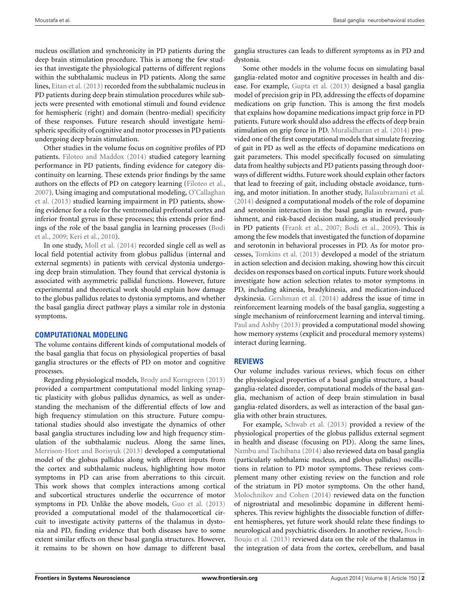nucleus oscillation and synchronicity in PD patients during the deep brain stimulation procedure. This is among the few studies that investigate the physiological patterns of different regions within the subthalamic nucleus in PD patients. Along the same lines, [Eitan et al.](#page-2-5) [\(2013\)](#page-2-5) recorded from the subthalamic nucleus in PD patients during deep brain stimulation procedures while subjects were presented with emotional stimuli and found evidence for hemispheric (right) and domain (bentro-medial) specificity of these responses. Future research should investigate hemispheric specificity of cognitive and motor processes in PD patients undergoing deep brain stimulation.

Other studies in the volume focus on cognitive profiles of PD patients. [Filoteo and Maddox](#page-2-6) [\(2014](#page-2-6)) studied category learning performance in PD patients, finding evidence for category discontinuity on learning. These extends prior findings by the same authors on the effects of PD on category learning [\(Filoteo et al.](#page-2-7), [2007](#page-2-7)[\).](#page-3-6) [Using](#page-3-6) [imaging](#page-3-6) [and](#page-3-6) [computational](#page-3-6) [modeling,](#page-3-6) O'Callaghan et al. [\(2013](#page-3-6)) studied learning impairment in PD patients, showing evidence for a role for the ventromedial prefrontal cortex and inferior frontal gyrus in these processes; this extends prior findings [of the role of the basal ganglia in learning processes \(](#page-2-8)Bodi et al., [2009;](#page-2-8) [Keri et al.](#page-3-7), [2010](#page-3-7)).

In one study, [Moll et al.](#page-3-8) [\(2014](#page-3-8)) recorded single cell as well as local field potential activity from globus pallidus (internal and external segments) in patients with cervical dystonia undergoing deep brain stimulation. They found that cervical dystonia is associated with asymmetric pallidal functions. However, future experimental and theoretical work should explain how damage to the globus pallidus relates to dystonia symptoms, and whether the basal ganglia direct pathway plays a similar role in dystonia symptoms.

### **COMPUTATIONAL MODELING**

The volume contains different kinds of computational models of the basal ganglia that focus on physiological properties of basal ganglia structures or the effects of PD on motor and cognitive processes.

Regarding physiological models, [Brody and Korngreen](#page-2-9) [\(2013](#page-2-9)) provided a compartment computational model linking synaptic plasticity with globus pallidus dynamics, as well as understanding the mechanism of the differential effects of low and high frequency stimulation on this structure. Future computational studies should also investigate the dynamics of other basal ganglia structures including low and high frequency stimulation of the subthalamic nucleus. Along the same lines, [Merrison-Hort and Borisyuk](#page-3-9) [\(2013](#page-3-9)) developed a computational model of the globus pallidus along with afferent inputs from the cortex and subthalamic nucleus, highlighting how motor symptoms in PD can arise from aberrations to this circuit. This work shows that complex interactions among cortical and subcortical structures underlie the occurrence of motor symptoms in PD. Unlike the above models, [Guo et al.](#page-3-10) [\(2013](#page-3-10)) provided a computational model of the thalamocortical circuit to investigate activity patterns of the thalamus in dystonia and PD, finding evidence that both diseases have to some extent similar effects on these basal ganglia structures. However, it remains to be shown on how damage to different basal

ganglia structures can leads to different symptoms as in PD and dystonia.

Some other models in the volume focus on simulating basal ganglia-related motor and cognitive processes in health and disease. For example, [Gupta et al.](#page-3-11) [\(2013](#page-3-11)) designed a basal ganglia model of precision grip in PD, addressing the effects of dopamine medications on grip function. This is among the first models that explains how dopamine medications impact grip force in PD patients. Future work should also address the effects of deep brain stimulation on grip force in PD. [Muralidharan et al.](#page-3-12) [\(2014\)](#page-3-12) provided one of the first computational models that simulate freezing of gait in PD as well as the effects of dopamine medications on gait parameters. This model specifically focused on simulating data from healthy subjects and PD patients passing through doorways of different widths. Future work should explain other factors that lead to freezing of gait, including obstacle avoidance, turning, and motor initiation. In another study, [Balasubramani et al.](#page-2-10) [\(2014\)](#page-2-10) designed a computational models of the role of dopamine and serotonin interaction in the basal ganglia in reward, punishment, and risk-based decision making, as studied previously in PD patients [\(Frank et al.](#page-2-11), [2007;](#page-2-11) [Bodi et al.](#page-2-8), [2009](#page-2-8)). This is among the few models that investigated the function of dopamine and serotonin in behavioral processes in PD. As for motor processes, [Tomkins et al.](#page-3-13) [\(2013\)](#page-3-13) developed a model of the striatum in action selection and decision making, showing how this circuit decides on responses based on cortical inputs. Future work should investigate how action selection relates to motor symptoms in PD, including akinesia, bradykinesia, and medication-induced dyskinesia. [Gershman et al.](#page-3-14) [\(2014\)](#page-3-14) address the issue of time in reinforcement learning models of the basal ganglia, suggesting a single mechanism of reinforcement learning and interval timing. [Paul and Ashby](#page-3-15) [\(2013\)](#page-3-15) provided a computational model showing how memory systems (explicit and procedural memory systems) interact during learning.

# **REVIEWS**

Our volume includes various reviews, which focus on either the physiological properties of a basal ganglia structure, a basal ganglia-related disorder, computational models of the basal ganglia, mechanism of action of deep brain stimulation in basal ganglia-related disorders, as well as interaction of the basal ganglia with other brain structures.

For example, [Schwab et al.](#page-3-16) [\(2013\)](#page-3-16) provided a review of the physiological properties of the globus pallidus external segment in health and disease (focusing on PD). Along the same lines, [Nambu and Tachibana](#page-3-17) [\(2014\)](#page-3-17) also reviewed data on basal ganglia (particularly subthalamic nucleus, and globus pallidus) oscillations in relation to PD motor symptoms. These reviews complement many other existing review on the function and role of the striatum in PD motor symptoms. On the other hand, [Molochnikov and Cohen](#page-3-18) [\(2014](#page-3-18)) reviewed data on the function of nigrostriatal and mesolimbic dopamine in different hemispheres. This review highlights the dissociable function of different hemispheres, yet future work should relate these findings to neurologica[l and psychiatric disorders. In another review,](#page-2-12) Bosch-Bouju et al. [\(2013](#page-2-12)) reviewed data on the role of the thalamus in the integration of data from the cortex, cerebellum, and basal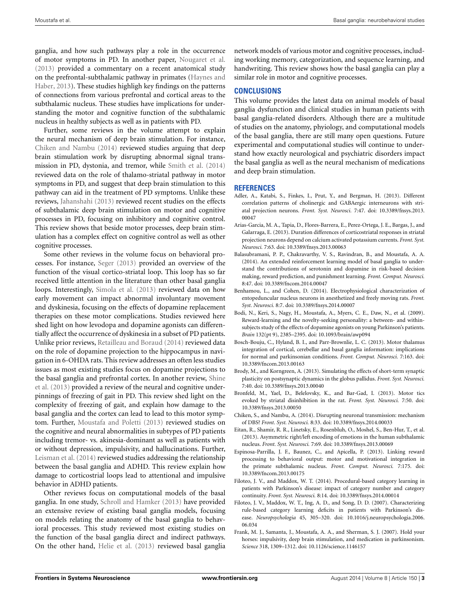ganglia, and how such pathways play a role in the occurrence of motor symptoms in PD. In another paper, [Nougaret et al.](#page-3-19) [\(2013\)](#page-3-19) provided a commentary on a recent anatomical study on th[e](#page-3-20) [prefrontal-subthalamic](#page-3-20) [pathway](#page-3-20) [in](#page-3-20) [primates](#page-3-20) [\(](#page-3-20)Haynes and Haber, [2013\)](#page-3-20). These studies highligh key findings on the patterns of connections from various prefrontal and cortical areas to the subthalamic nucleus. These studies have implications for understanding the motor and cognitive function of the subthalamic nucleus in healthy subjects as well as in patients with PD.

Further, some reviews in the volume attempt to explain the neural mechanism of deep brain stimulation. For instance, [Chiken and Nambu](#page-2-13) [\(2014](#page-2-13)) reviewed studies arguing that deep brain stimulation work by disrupting abnormal signal transmission in PD, dystonia, and tremor, while [Smith et al.](#page-3-21) [\(2014](#page-3-21)) reviewed data on the role of thalamo-striatal pathway in motor symptoms in PD, and suggest that deep brain stimulation to this pathway can aid in the treatment of PD symptoms. Unlike these reviews, [Jahanshahi](#page-3-22) [\(2013](#page-3-22)) reviewed recent studies on the effects of subthalamic deep brain stimulation on motor and cognitive processes in PD, focusing on inhibitory and cognitive control. This review shows that beside motor processes, deep brain stimulation has a complex effect on cognitive control as well as other cognitive processes.

Some other reviews in the volume focus on behavioral processes. For instance, [Seger](#page-3-23) [\(2013\)](#page-3-23) provided an overview of the function of the visual cortico-striatal loop. This loop has so far received little attention in the literature than other basal ganglia loops. Interestingly, [Simola et al.](#page-3-24) [\(2013](#page-3-24)) reviewed data on how early movement can impact abnormal involuntary movement and dyskinesia, focusing on the effects of dopamine replacement therapies on these motor complications. Studies reviewed here shed light on how levodopa and dopamine agonists can differentially affect the occurrence of dyskinesia in a subset of PD patients. Unlike prior reviews, [Retailleau and Boraud](#page-3-25) [\(2014](#page-3-25)) reviewed data on the role of dopamine projection to the hippocampus in navigation in 6-OHDA rats. This review addresses an often less studies issues as most existing studies focus on dopamine projections to the [basal ganglia and prefrontal cortex. In another review,](#page-3-26) Shine et al. [\(2013](#page-3-26)) provided a review of the neural and cognitive underpinnings of freezing of gait in PD. This review shed light on the complexity of freezing of gait, and explain how damage to the basal ganglia and the cortex can lead to lead to this motor symptom. Further, [Moustafa and Poletti](#page-3-27) [\(2013\)](#page-3-27) reviewed studies on the cognitive and neural abnormalities in subtypes of PD patients including tremor- vs. akinesia-dominant as well as patients with or without depression, impulsivity, and hallucinations. Further, [Leisman et al.](#page-3-28) [\(2014\)](#page-3-28) reviewed studies addressing the relationship between the basal ganglia and ADHD. This review explain how damage to corticostrial loops lead to attentional and impulsive behavior in ADHD patients.

Other reviews focus on computational models of the basal ganglia. In one study, [Schroll and Hamker](#page-3-29) [\(2013\)](#page-3-29) have provided an extensive review of existing basal ganglia models, focusing on models relating the anatomy of the basal ganglia to behavioral processes. This study reviewed most existing studies on the function of the basal ganglia direct and indirect pathways. On the other hand, [Helie et al.](#page-3-30) [\(2013\)](#page-3-30) reviewed basal ganglia network models of various motor and cognitive processes, including working memory, categorization, and sequence learning, and handwriting. This review shows how the basal ganglia can play a similar role in motor and cognitive processes.

## **CONCLUSIONS**

This volume provides the latest data on animal models of basal ganglia dysfunction and clinical studies in human patients with basal ganglia-related disorders. Although there are a multitude of studies on the anatomy, phyiology, and computational models of the basal ganglia, there are still many open questions. Future experimental and computational studies will continue to understand how exactly neurological and psychiatric disorders impact the basal ganglia as well as the neural mechanism of medications and deep brain stimulation.

### **REFERENCES**

- <span id="page-2-0"></span>Adler, A., Katabi, S., Finkes, I., Prut, Y., and Bergman, H. (2013). Different correlation patterns of cholinergic and GABAergic interneurons with striatal projection neurons. *Front. Syst. Neurosci.* 7:47. doi: 10.3389/fnsys.2013. 00047
- <span id="page-2-2"></span>Arias-Garcia, M. A., Tapia, D., Flores-Barrera, E., Perez-Ortega, J. E., Bargas, J., and Galarraga, E. (2013). Duration differences of corticostriatal responses in striatal projection neurons depend on calcium activated potassium currents. *Front. Syst. Neurosci.* 7:63. doi: 10.3389/fnsys.2013.00063
- <span id="page-2-10"></span>Balasubramani, P. P., Chakravarthy, V. S., Ravindran, B., and Moustafa, A. A. (2014). An extended reinforcement learning model of basal ganglia to understand the contributions of serotonin and dopamine in risk-based decision making, reward prediction, and punishment learning. *Front. Comput. Neurosci.* 8:47. doi: 10.3389/fncom.2014.00047
- <span id="page-2-4"></span>Benhamou, L., and Cohen, D. (2014). Electrophysiological characterization of entopeduncular nucleus neurons in anesthetized and freely moving rats. *Front. Syst. Neurosci.* 8:7. doi: 10.3389/fnsys.2014.00007
- <span id="page-2-8"></span>Bodi, N., Keri, S., Nagy, H., Moustafa, A., Myers, C. E., Daw, N., et al. (2009). Reward-learning and the novelty-seeking personality: a between- and withinsubjects study of the effects of dopamine agonists on young Parkinson's patients. *Brain* 132(pt 9), 2385–2395. doi: 10.1093/brain/awp094
- <span id="page-2-12"></span>Bosch-Bouju, C., Hyland, B. I., and Parr-Brownlie, L. C. (2013). Motor thalamus integration of cortical, cerebellar and basal ganglia information: implications for normal and parkinsonian conditions. *Front. Comput. Neurosci.* 7:163. doi: 10.3389/fncom.2013.00163
- <span id="page-2-9"></span>Brody, M., and Korngreen, A. (2013). Simulating the effects of short-term synaptic plasticity on postsynaptic dynamics in the globus pallidus. *Front. Syst. Neurosci.* 7:40. doi: 10.3389/fnsys.2013.00040
- <span id="page-2-1"></span>Bronfeld, M., Yael, D., Belelovsky, K., and Bar-Gad, I. (2013). Motor tics evoked by striatal disinhibition in the rat. *Front. Syst. Neurosci.* 7:50. doi: 10.3389/fnsys.2013.00050
- <span id="page-2-13"></span>Chiken, S., and Nambu, A. (2014). Disrupting neuronal transmission: mechanism of DBS? *Front. Syst. Neurosci.* 8:33. doi: 10.3389/fnsys.2014.00033
- <span id="page-2-5"></span>Eitan, R., Shamir, R. R., Linetsky, E., Rosenbluh, O., Moshel, S., Ben-Hur, T., et al. (2013). Asymmetric right/left encoding of emotions in the human subthalamic nucleus. *Front. Syst. Neurosci.* 7:69. doi: 10.3389/fnsys.2013.00069
- <span id="page-2-3"></span>Espinosa-Parrilla, J. F., Baunez, C., and Apicella, P. (2013). Linking reward processing to behavioral output: motor and motivational integration in the primate subthalamic nucleus. *Front. Comput. Neurosci.* 7:175. doi: 10.3389/fncom.2013.00175
- <span id="page-2-6"></span>Filoteo, J. V., and Maddox, W. T. (2014). Procedural-based category learning in patients with Parkinson's disease: impact of category number and category continuity. *Front. Syst. Neurosci.* 8:14. doi: 10.3389/fnsys.2014.00014
- <span id="page-2-7"></span>Filoteo, J. V., Maddox, W. T., Ing, A. D., and Song, D. D. (2007). Characterizing rule-based category learning deficits in patients with Parkinson's disease. *Neuropsychologia* 45, 305–320. doi: 10.1016/j.neuropsychologia.2006. 06.034
- <span id="page-2-11"></span>Frank, M. J., Samanta, J., Moustafa, A. A., and Sherman, S. J. (2007). Hold your horses: impulsivity, deep brain stimulation, and medication in parkinsonism. *Science* 318, 1309–1312. doi: 10.1126/science.1146157